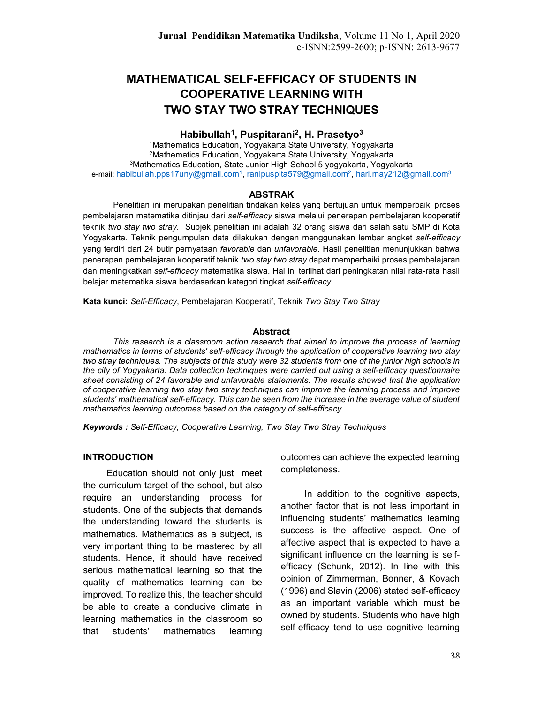# MATHEMATICAL SELF-EFFICACY OF STUDENTS IN COOPERATIVE LEARNING WITH TWO STAY TWO STRAY TECHNIQUES

## Habibullah<sup>1</sup>, Puspitarani<sup>2</sup>, H. Prasetyo<sup>3</sup>

Mathematics Education, Yogyakarta State University, Yogyakarta Mathematics Education, Yogyakarta State University, Yogyakarta Mathematics Education, State Junior High School 5 yogyakarta, Yogyakarta e-mail: habibullah.pps17uny@gmail.com<sup>1</sup>, ranipuspita579@gmail.com<sup>2</sup>, hari.may212@gmail.com<sup>3</sup>

### ABSTRAK

Penelitian ini merupakan penelitian tindakan kelas yang bertujuan untuk memperbaiki proses pembelajaran matematika ditinjau dari self-efficacy siswa melalui penerapan pembelajaran kooperatif teknik two stay two stray. Subjek penelitian ini adalah 32 orang siswa dari salah satu SMP di Kota Yogyakarta. Teknik pengumpulan data dilakukan dengan menggunakan lembar angket self-efficacy yang terdiri dari 24 butir pernyataan *favorable* dan unfavorable. Hasil penelitian menunjukkan bahwa penerapan pembelajaran kooperatif teknik two stay two stray dapat memperbaiki proses pembelajaran dan meningkatkan self-efficacy matematika siswa. Hal ini terlihat dari peningkatan nilai rata-rata hasil belajar matematika siswa berdasarkan kategori tingkat self-efficacy.

Kata kunci: Self-Efficacy, Pembelajaran Kooperatif, Teknik Two Stay Two Stray

#### Abstract

This research is a classroom action research that aimed to improve the process of learning mathematics in terms of students' self-efficacy through the application of cooperative learning two stay two stray techniques. The subjects of this study were 32 students from one of the junior high schools in the city of Yogyakarta. Data collection techniques were carried out using a self-efficacy questionnaire sheet consisting of 24 favorable and unfavorable statements. The results showed that the application of cooperative learning two stay two stray techniques can improve the learning process and improve students' mathematical self-efficacy. This can be seen from the increase in the average value of student mathematics learning outcomes based on the category of self-efficacy.

Keywords : Self-Efficacy, Cooperative Learning, Two Stay Two Stray Techniques

### INTRODUCTION

Education should not only just meet the curriculum target of the school, but also require an understanding process for students. One of the subjects that demands the understanding toward the students is mathematics. Mathematics as a subject, is very important thing to be mastered by all students. Hence, it should have received serious mathematical learning so that the quality of mathematics learning can be improved. To realize this, the teacher should be able to create a conducive climate in learning mathematics in the classroom so that students' mathematics learning

outcomes can achieve the expected learning completeness.

In addition to the cognitive aspects, another factor that is not less important in influencing students' mathematics learning success is the affective aspect. One of affective aspect that is expected to have a significant influence on the learning is selfefficacy (Schunk, 2012). In line with this opinion of Zimmerman, Bonner, & Kovach (1996) and Slavin (2006) stated self-efficacy as an important variable which must be owned by students. Students who have high self-efficacy tend to use cognitive learning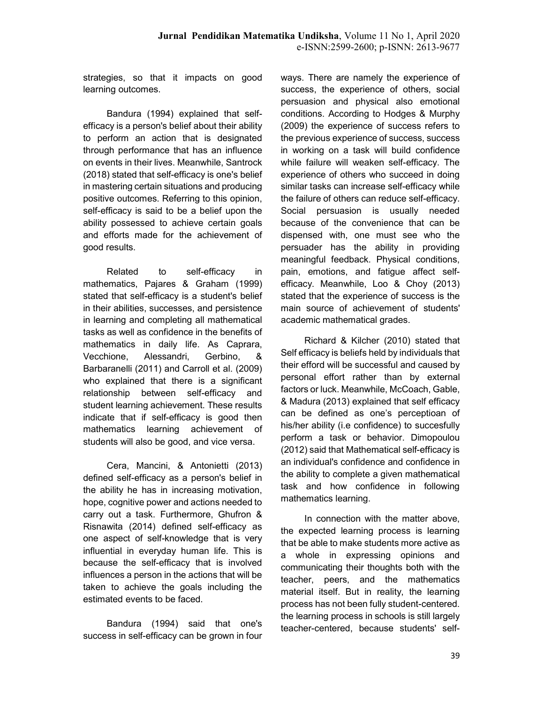strategies, so that it impacts on good learning outcomes.

Bandura (1994) explained that selfefficacy is a person's belief about their ability to perform an action that is designated through performance that has an influence on events in their lives. Meanwhile, Santrock (2018) stated that self-efficacy is one's belief in mastering certain situations and producing positive outcomes. Referring to this opinion, self-efficacy is said to be a belief upon the ability possessed to achieve certain goals and efforts made for the achievement of good results.

Related to self-efficacy in mathematics, Pajares & Graham (1999) stated that self-efficacy is a student's belief in their abilities, successes, and persistence in learning and completing all mathematical tasks as well as confidence in the benefits of mathematics in daily life. As Caprara, Vecchione, Alessandri, Gerbino, & Barbaranelli (2011) and Carroll et al. (2009) who explained that there is a significant relationship between self-efficacy and student learning achievement. These results indicate that if self-efficacy is good then mathematics learning achievement of students will also be good, and vice versa.

Cera, Mancini, & Antonietti (2013) defined self-efficacy as a person's belief in the ability he has in increasing motivation, hope, cognitive power and actions needed to carry out a task. Furthermore, Ghufron & Risnawita (2014) defined self-efficacy as one aspect of self-knowledge that is very influential in everyday human life. This is because the self-efficacy that is involved influences a person in the actions that will be taken to achieve the goals including the estimated events to be faced.

Bandura (1994) said that one's success in self-efficacy can be grown in four ways. There are namely the experience of success, the experience of others, social persuasion and physical also emotional conditions. According to Hodges & Murphy (2009) the experience of success refers to the previous experience of success, success in working on a task will build confidence while failure will weaken self-efficacy. The experience of others who succeed in doing similar tasks can increase self-efficacy while the failure of others can reduce self-efficacy. Social persuasion is usually needed because of the convenience that can be dispensed with, one must see who the persuader has the ability in providing meaningful feedback. Physical conditions, pain, emotions, and fatigue affect selfefficacy. Meanwhile, Loo & Choy (2013) stated that the experience of success is the main source of achievement of students' academic mathematical grades.

Richard & Kilcher (2010) stated that Self efficacy is beliefs held by individuals that their efford will be successful and caused by personal effort rather than by external factors or luck. Meanwhile, McCoach, Gable, & Madura (2013) explained that self efficacy can be defined as one's perceptioan of his/her ability (i.e confidence) to succesfully perform a task or behavior. Dimopoulou (2012) said that Mathematical self-efficacy is an individual's confidence and confidence in the ability to complete a given mathematical task and how confidence in following mathematics learning.

In connection with the matter above, the expected learning process is learning that be able to make students more active as a whole in expressing opinions and communicating their thoughts both with the teacher, peers, and the mathematics material itself. But in reality, the learning process has not been fully student-centered. the learning process in schools is still largely teacher-centered, because students' self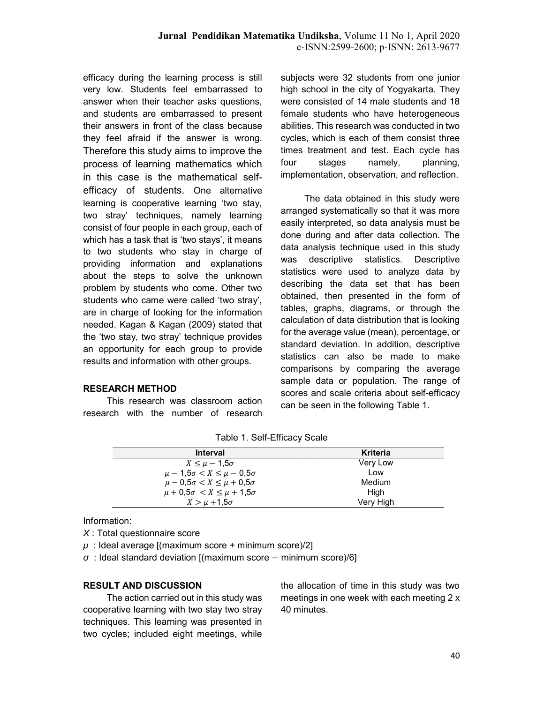efficacy during the learning process is still very low. Students feel embarrassed to answer when their teacher asks questions, and students are embarrassed to present their answers in front of the class because they feel afraid if the answer is wrong. Therefore this study aims to improve the process of learning mathematics which in this case is the mathematical selfefficacy of students. One alternative learning is cooperative learning 'two stay, two stray' techniques, namely learning consist of four people in each group, each of which has a task that is 'two stays', it means to two students who stay in charge of providing information and explanations about the steps to solve the unknown problem by students who come. Other two students who came were called 'two stray', are in charge of looking for the information needed. Kagan & Kagan (2009) stated that the 'two stay, two stray' technique provides an opportunity for each group to provide results and information with other groups.

### RESEARCH METHOD

This research was classroom action research with the number of research subjects were 32 students from one junior high school in the city of Yogyakarta. They were consisted of 14 male students and 18 female students who have heterogeneous abilities. This research was conducted in two cycles, which is each of them consist three times treatment and test. Each cycle has four stages namely, planning, implementation, observation, and reflection.

The data obtained in this study were arranged systematically so that it was more easily interpreted, so data analysis must be done during and after data collection. The data analysis technique used in this study was descriptive statistics. Descriptive statistics were used to analyze data by describing the data set that has been obtained, then presented in the form of tables, graphs, diagrams, or through the calculation of data distribution that is looking for the average value (mean), percentage, or standard deviation. In addition, descriptive statistics can also be made to make comparisons by comparing the average sample data or population. The range of scores and scale criteria about self-efficacy can be seen in the following Table 1.

| <b>Interval</b>                            | Kriteria  |
|--------------------------------------------|-----------|
| $X \leq \mu - 1.5\sigma$                   | Very Low  |
| $\mu - 1.5\sigma < X \leq \mu - 0.5\sigma$ | Low       |
| $\mu - 0.5\sigma < X \leq \mu + 0.5\sigma$ | Medium    |
| $\mu + 0.5\sigma < X \leq \mu + 1.5\sigma$ | High      |
| $X > \mu + 1.5\sigma$                      | Very High |

Table 1. Self-Efficacy Scale

Information:

X : Total questionnaire score

 $\mu$  : Ideal average [(maximum score + minimum score)/2]

 $\sigma$  : Ideal standard deviation [(maximum score – minimum score)/6]

## RESULT AND DISCUSSION

The action carried out in this study was cooperative learning with two stay two stray techniques. This learning was presented in two cycles; included eight meetings, while

the allocation of time in this study was two meetings in one week with each meeting 2 x 40 minutes.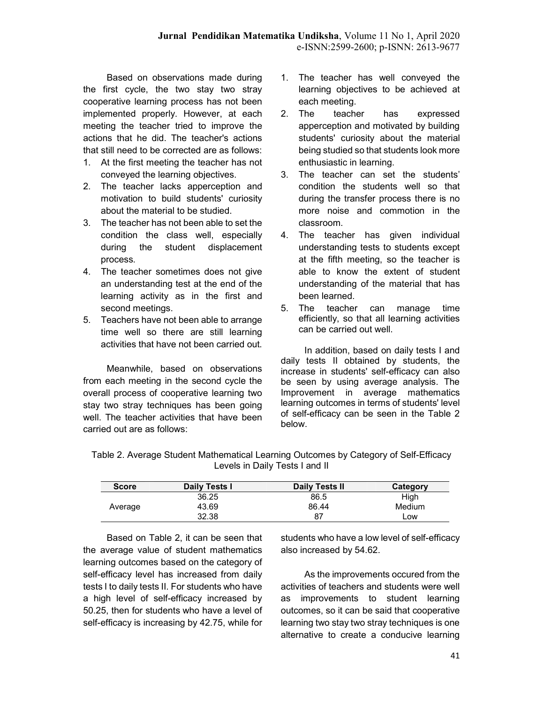Based on observations made during the first cycle, the two stay two stray cooperative learning process has not been implemented properly. However, at each meeting the teacher tried to improve the actions that he did. The teacher's actions that still need to be corrected are as follows:

- 1. At the first meeting the teacher has not conveyed the learning objectives.
- 2. The teacher lacks apperception and motivation to build students' curiosity about the material to be studied.
- 3. The teacher has not been able to set the condition the class well, especially during the student displacement process.
- 4. The teacher sometimes does not give an understanding test at the end of the learning activity as in the first and second meetings.
- 5. Teachers have not been able to arrange time well so there are still learning activities that have not been carried out.

Meanwhile, based on observations from each meeting in the second cycle the overall process of cooperative learning two stay two stray techniques has been going well. The teacher activities that have been carried out are as follows:

- 1. The teacher has well conveyed the learning objectives to be achieved at each meeting.
- 2. The teacher has expressed apperception and motivated by building students' curiosity about the material being studied so that students look more enthusiastic in learning.
- 3. The teacher can set the students' condition the students well so that during the transfer process there is no more noise and commotion in the classroom.
- 4. The teacher has given individual understanding tests to students except at the fifth meeting, so the teacher is able to know the extent of student understanding of the material that has been learned.
- 5. The teacher can manage time efficiently, so that all learning activities can be carried out well.

In addition, based on daily tests I and daily tests II obtained by students, the increase in students' self-efficacy can also be seen by using average analysis. The Improvement in average mathematics learning outcomes in terms of students' level of self-efficacy can be seen in the Table 2 below.

Table 2. Average Student Mathematical Learning Outcomes by Category of Self-Efficacy Levels in Daily Tests I and II

| <b>Score</b> | Daily Tests I | Daily Tests II | Category |
|--------------|---------------|----------------|----------|
| Average      | 36.25         | 86.5           | High     |
|              | 43.69         | 86.44          | Medium   |
|              | 32.38         | 87             | ∟ow      |

Based on Table 2, it can be seen that the average value of student mathematics learning outcomes based on the category of self-efficacy level has increased from daily tests I to daily tests II. For students who have a high level of self-efficacy increased by 50.25, then for students who have a level of self-efficacy is increasing by 42.75, while for students who have a low level of self-efficacy also increased by 54.62.

As the improvements occured from the activities of teachers and students were well as improvements to student learning outcomes, so it can be said that cooperative learning two stay two stray techniques is one alternative to create a conducive learning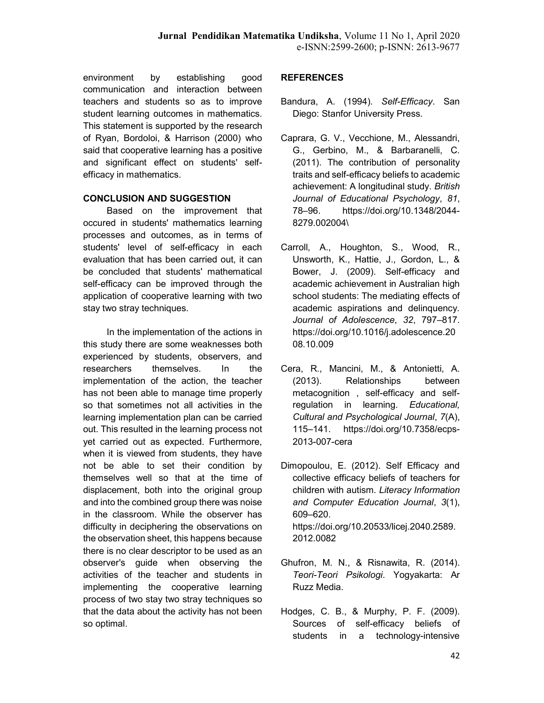environment by establishing good communication and interaction between teachers and students so as to improve student learning outcomes in mathematics. This statement is supported by the research of Ryan, Bordoloi, & Harrison (2000) who said that cooperative learning has a positive and significant effect on students' selfefficacy in mathematics.

## CONCLUSION AND SUGGESTION

Based on the improvement that occured in students' mathematics learning processes and outcomes, as in terms of students' level of self-efficacy in each evaluation that has been carried out, it can be concluded that students' mathematical self-efficacy can be improved through the application of cooperative learning with two stay two stray techniques.

In the implementation of the actions in this study there are some weaknesses both experienced by students, observers, and researchers themselves. In the implementation of the action, the teacher has not been able to manage time properly so that sometimes not all activities in the learning implementation plan can be carried out. This resulted in the learning process not yet carried out as expected. Furthermore, when it is viewed from students, they have not be able to set their condition by themselves well so that at the time of displacement, both into the original group and into the combined group there was noise in the classroom. While the observer has difficulty in deciphering the observations on the observation sheet, this happens because there is no clear descriptor to be used as an observer's guide when observing the activities of the teacher and students in implementing the cooperative learning process of two stay two stray techniques so that the data about the activity has not been so optimal.

## **REFERENCES**

- Bandura, A. (1994). Self-Efficacy. San Diego: Stanfor University Press.
- Caprara, G. V., Vecchione, M., Alessandri, G., Gerbino, M., & Barbaranelli, C. (2011). The contribution of personality traits and self-efficacy beliefs to academic achievement: A longitudinal study. British Journal of Educational Psychology, 81, 78–96. https://doi.org/10.1348/2044- 8279.002004\
- Carroll, A., Houghton, S., Wood, R., Unsworth, K., Hattie, J., Gordon, L., & Bower, J. (2009). Self-efficacy and academic achievement in Australian high school students: The mediating effects of academic aspirations and delinquency. Journal of Adolescence, 32, 797–817. https://doi.org/10.1016/j.adolescence.20 08.10.009
- Cera, R., Mancini, M., & Antonietti, A. (2013). Relationships between metacognition , self-efficacy and selfregulation in learning. Educational, Cultural and Psychological Journal, 7(A), 115–141. https://doi.org/10.7358/ecps-2013-007-cera
- Dimopoulou, E. (2012). Self Efficacy and collective efficacy beliefs of teachers for children with autism. Literacy Information and Computer Education Journal, 3(1), 609–620. https://doi.org/10.20533/licej.2040.2589. 2012.0082
- Ghufron, M. N., & Risnawita, R. (2014). Teori-Teori Psikologi. Yogyakarta: Ar Ruzz Media.
- Hodges, C. B., & Murphy, P. F. (2009). Sources of self-efficacy beliefs of students in a technology-intensive